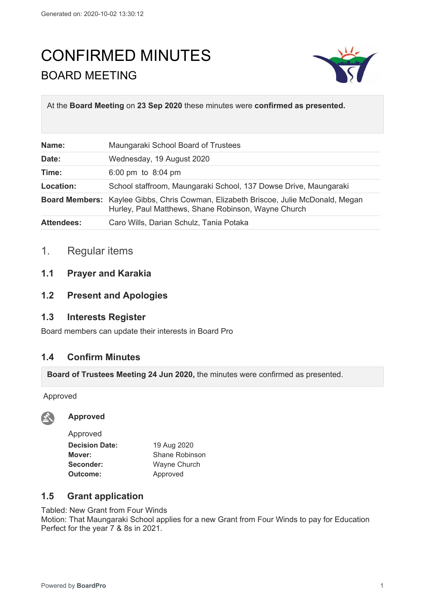# CONFIRMED MINUTES BOARD MEETING



At the **Board Meeting** on **23 Sep 2020** these minutes were **confirmed as presented.**

| Name:             | Maungaraki School Board of Trustees                                                                                                               |
|-------------------|---------------------------------------------------------------------------------------------------------------------------------------------------|
| Date:             | Wednesday, 19 August 2020                                                                                                                         |
| Time:             | 6:00 pm to $8:04$ pm                                                                                                                              |
| Location:         | School staffroom, Maungaraki School, 137 Dowse Drive, Maungaraki                                                                                  |
|                   | <b>Board Members:</b> Kaylee Gibbs, Chris Cowman, Elizabeth Briscoe, Julie McDonald, Megan<br>Hurley, Paul Matthews, Shane Robinson, Wayne Church |
| <b>Attendees:</b> | Caro Wills, Darian Schulz, Tania Potaka                                                                                                           |

# 1. Regular items

## **1.1 Prayer and Karakia**

### **1.2 Present and Apologies**

# **1.3 Interests Register**

Board members can update their interests in Board Pro

### **1.4 Confirm Minutes**

**Board of Trustees Meeting 24 Jun 2020,** the minutes were confirmed as presented.

Approved



**Approved**

| Approved              |                |
|-----------------------|----------------|
| <b>Decision Date:</b> | 19 Aug 2020    |
| Mover:                | Shane Robinson |
| Seconder:             | Wayne Church   |
| Outcome:              | Approved       |

# **1.5 Grant application**

Tabled: New Grant from Four Winds Motion: That Maungaraki School applies for a new Grant from Four Winds to pay for Education Perfect for the year 7 & 8s in 2021.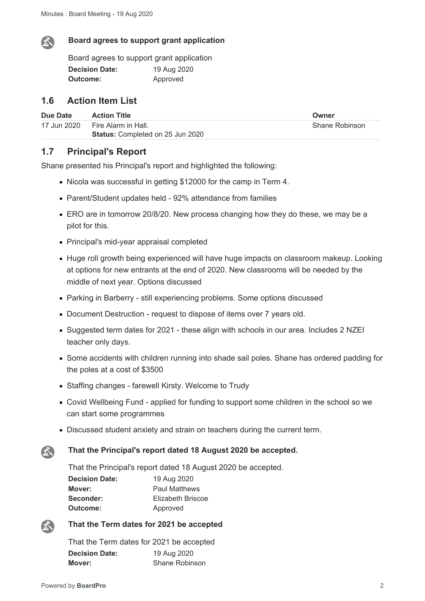

#### **Board agrees to support grant application**

Board agrees to support grant application **Decision Date:** 19 Aug 2020 **Outcome:** Approved

### **1.6 Action Item List**

| Due Date    | <b>Action Title</b>                     | Owner          |
|-------------|-----------------------------------------|----------------|
| 17 Jun 2020 | Fire Alarm in Hall.                     | Shane Robinson |
|             | <b>Status:</b> Completed on 25 Jun 2020 |                |

### **1.7 Principal's Report**

Shane presented his Principal's report and highlighted the following:

- Nicola was successful in getting \$12000 for the camp in Term 4.
- Parent/Student updates held 92% attendance from families
- ERO are in tomorrow 20/8/20. New process changing how they do these, we may be a pilot for this.
- Principal's mid-year appraisal completed
- Huge roll growth being experienced will have huge impacts on classroom makeup. Looking at options for new entrants at the end of 2020. New classrooms will be needed by the middle of next year. Options discussed
- Parking in Barberry still experiencing problems. Some options discussed
- Document Destruction request to dispose of items over 7 years old.
- Suggested term dates for 2021 these align with schools in our area. Includes 2 NZEI teacher only days.
- Some accidents with children running into shade sail poles. Shane has ordered padding for the poles at a cost of \$3500
- Staffing changes farewell Kirsty. Welcome to Trudy
- Covid Wellbeing Fund applied for funding to support some children in the school so we can start some programmes
- Discussed student anxiety and strain on teachers during the current term.

#### **That the Principal's report dated 18 August 2020 be accepted.**

That the Principal's report dated 18 August 2020 be accepted. **Decision Date:** 19 Aug 2020

| Decision Date: | <b>19 AUG ZUZU</b>   |
|----------------|----------------------|
| Mover:         | <b>Paul Matthews</b> |
| Seconder:      | Elizabeth Briscoe    |
| Outcome:       | Approved             |



公

#### **That the Term dates for 2021 be accepted**

That the Term dates for 2021 be accepted **Decision Date:** 19 Aug 2020 **Mover:** Shane Robinson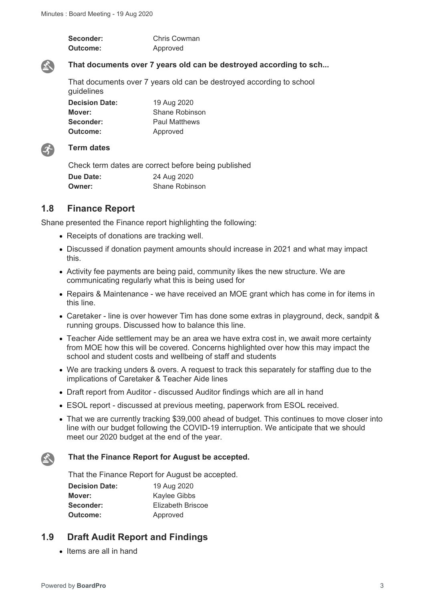| Seconder:       | <b>Chris Cowman</b> |
|-----------------|---------------------|
| <b>Outcome:</b> | Approved            |



### **That documents over 7 years old can be destroyed according to sch...**

That documents over 7 years old can be destroyed according to school guidelines

**Decision Date:** 19 Aug 2020 **Mover:** Shane Robinson **Seconder:** Paul Matthews **Outcome:** Approved



### **Term dates**

Check term dates are correct before being published **Due Date:** 24 Aug 2020 **Owner:** Shane Robinson

## **1.8 Finance Report**

Shane presented the Finance report highlighting the following:

- Receipts of donations are tracking well.
- Discussed if donation payment amounts should increase in 2021 and what may impact this.
- Activity fee payments are being paid, community likes the new structure. We are communicating regularly what this is being used for
- Repairs & Maintenance we have received an MOE grant which has come in for items in this line.
- Caretaker line is over however Tim has done some extras in playground, deck, sandpit & running groups. Discussed how to balance this line.
- Teacher Aide settlement may be an area we have extra cost in, we await more certainty from MOE how this will be covered. Concerns highlighted over how this may impact the school and student costs and wellbeing of staff and students
- We are tracking unders & overs. A request to track this separately for staffing due to the implications of Caretaker & Teacher Aide lines
- Draft report from Auditor discussed Auditor findings which are all in hand
- ESOL report discussed at previous meeting, paperwork from ESOL received.
- That we are currently tracking \$39,000 ahead of budget. This continues to move closer into line with our budget following the COVID-19 interruption. We anticipate that we should meet our 2020 budget at the end of the year.

#### **That the Finance Report for August be accepted.**

That the Finance Report for August be accepted.

| <b>Decision Date:</b> | 19 Aug 2020       |
|-----------------------|-------------------|
| Mover:                | Kaylee Gibbs      |
| Seconder:             | Elizabeth Briscoe |
| Outcome:              | Approved          |

## **1.9 Draft Audit Report and Findings**

 $\bullet$  Items are all in hand

 $\sum_{i=1}^{n}$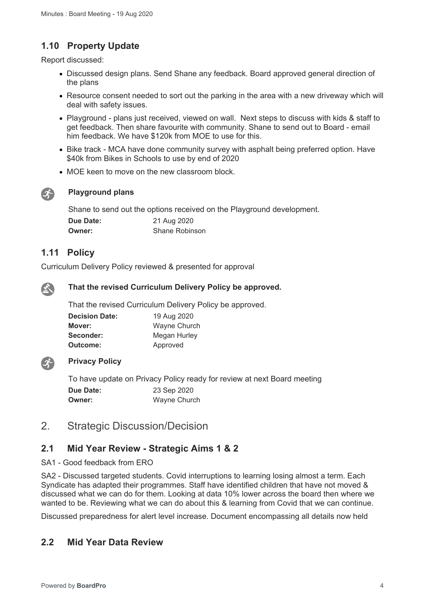# **1.10 Property Update**

Report discussed:

- Discussed design plans. Send Shane any feedback. Board approved general direction of the plans
- Resource consent needed to sort out the parking in the area with a new driveway which will deal with safety issues.
- Playground plans just received, viewed on wall. Next steps to discuss with kids & staff to get feedback. Then share favourite with community. Shane to send out to Board - email him feedback. We have \$120k from MOE to use for this.
- Bike track MCA have done community survey with asphalt being preferred option. Have \$40k from Bikes in Schools to use by end of 2020
- MOE keen to move on the new classroom block.



### **Playground plans**

Shane to send out the options received on the Playground development.

| Due Date: | 21 Aug 2020           |
|-----------|-----------------------|
| Owner:    | <b>Shane Robinson</b> |

## **1.11 Policy**

Curriculum Delivery Policy reviewed & presented for approval



#### **That the revised Curriculum Delivery Policy be approved.**

That the revised Curriculum Delivery Policy be approved.

| <b>Decision Date:</b> | 19 Aug 2020  |
|-----------------------|--------------|
| Mover:                | Wayne Church |
| Seconder:             | Megan Hurley |
| Outcome:              | Approved     |



### **Privacy Policy**

To have update on Privacy Policy ready for review at next Board meeting **Due Date:** 23 Sep 2020 **Owner:** Wayne Church

# 2. Strategic Discussion/Decision

### **2.1 Mid Year Review - Strategic Aims 1 & 2**

#### SA1 - Good feedback from ERO

SA2 - Discussed targeted students. Covid interruptions to learning losing almost a term. Each Syndicate has adapted their programmes. Staff have identified children that have not moved & discussed what we can do for them. Looking at data 10% lower across the board then where we wanted to be. Reviewing what we can do about this & learning from Covid that we can continue.

Discussed preparedness for alert level increase. Document encompassing all details now held

## **2.2 Mid Year Data Review**